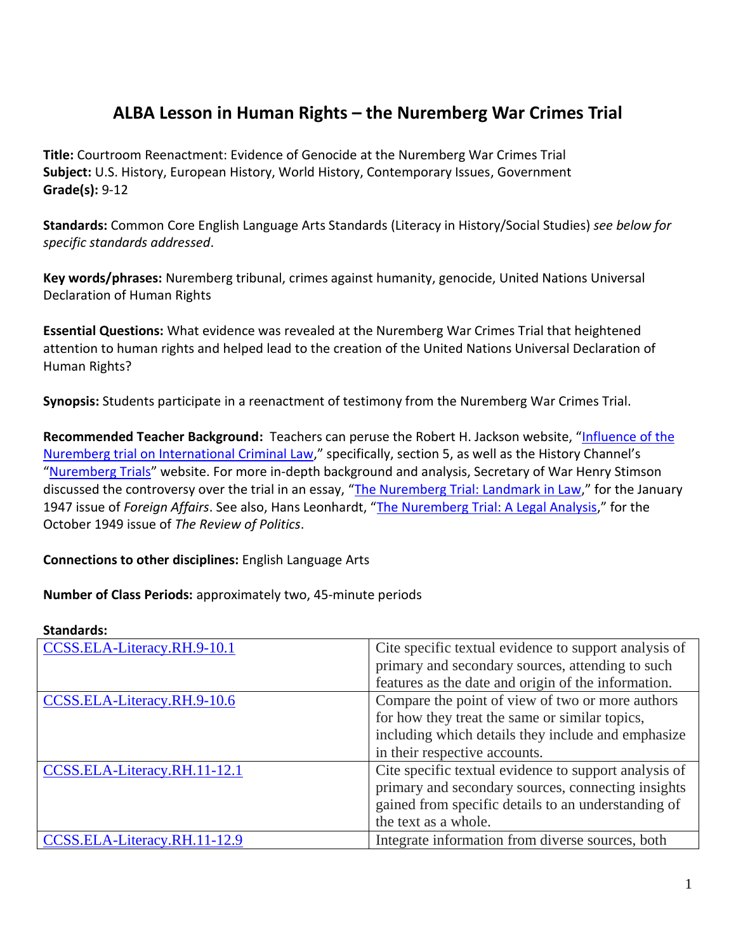## **ALBA Lesson in Human Rights – the Nuremberg War Crimes Trial**

**Title:** Courtroom Reenactment: Evidence of Genocide at the Nuremberg War Crimes Trial **Subject:** U.S. History, European History, World History, Contemporary Issues, Government **Grade(s):** 9-12

**Standards:** Common Core English Language Arts Standards (Literacy in History/Social Studies) *see below for specific standards addressed*.

**Key words/phrases:** Nuremberg tribunal, crimes against humanity, genocide, United Nations Universal Declaration of Human Rights

**Essential Questions:** What evidence was revealed at the Nuremberg War Crimes Trial that heightened attention to human rights and helped lead to the creation of the United Nations Universal Declaration of Human Rights?

**Synopsis:** Students participate in a reenactment of testimony from the Nuremberg War Crimes Trial.

**Recommended Teacher Background:** Teachers can peruse the Robert H. Jackson website, "[Influence of the](http://www.roberthjackson.org/the-man/speeches-articles/speeches/speeches-related-to-robert-h-jackson/the-influence-of-the-nuremberg-trial-on-international-criminal-law/)  [Nuremberg trial on International Criminal Law](http://www.roberthjackson.org/the-man/speeches-articles/speeches/speeches-related-to-robert-h-jackson/the-influence-of-the-nuremberg-trial-on-international-criminal-law/)," specifically, section 5, as well as the History Channel's "[Nuremberg Trials](http://www.history.com/topics/world-war-ii/nuremberg-trials)" website. For more in-depth background and analysis, Secretary of War Henry Stimson discussed the controversy over the trial in an essay, "[The Nuremberg Trial: Landmark in Law](https://www.foreignaffairs.com/articles/1947-01-01/nuremberg-trial-landmark-law)," for the January 1947 issue of *Foreign Affairs*. See also, Hans Leonhardt, "[The Nuremberg Trial: A Legal Analysis](http://journals.cambridge.org/action/displayFulltext?type=1&fid=5367340&jid=ROP&volumeId=11&issueId=04&aid=5367332)," for the October 1949 issue of *The Review of Politics*.

## **Connections to other disciplines:** English Language Arts

#### **Number of Class Periods:** approximately two, 45-minute periods

# **Standards:**

| CCSS.ELA-Literacy.RH.9-10.1  | Cite specific textual evidence to support analysis of |
|------------------------------|-------------------------------------------------------|
|                              | primary and secondary sources, attending to such      |
|                              | features as the date and origin of the information.   |
| CCSS.ELA-Literacy.RH.9-10.6  | Compare the point of view of two or more authors      |
|                              | for how they treat the same or similar topics,        |
|                              | including which details they include and emphasize    |
|                              | in their respective accounts.                         |
| CCSS.ELA-Literacy.RH.11-12.1 | Cite specific textual evidence to support analysis of |
|                              | primary and secondary sources, connecting insights    |
|                              | gained from specific details to an understanding of   |
|                              | the text as a whole.                                  |
| CCSS.ELA-Literacy.RH.11-12.9 | Integrate information from diverse sources, both      |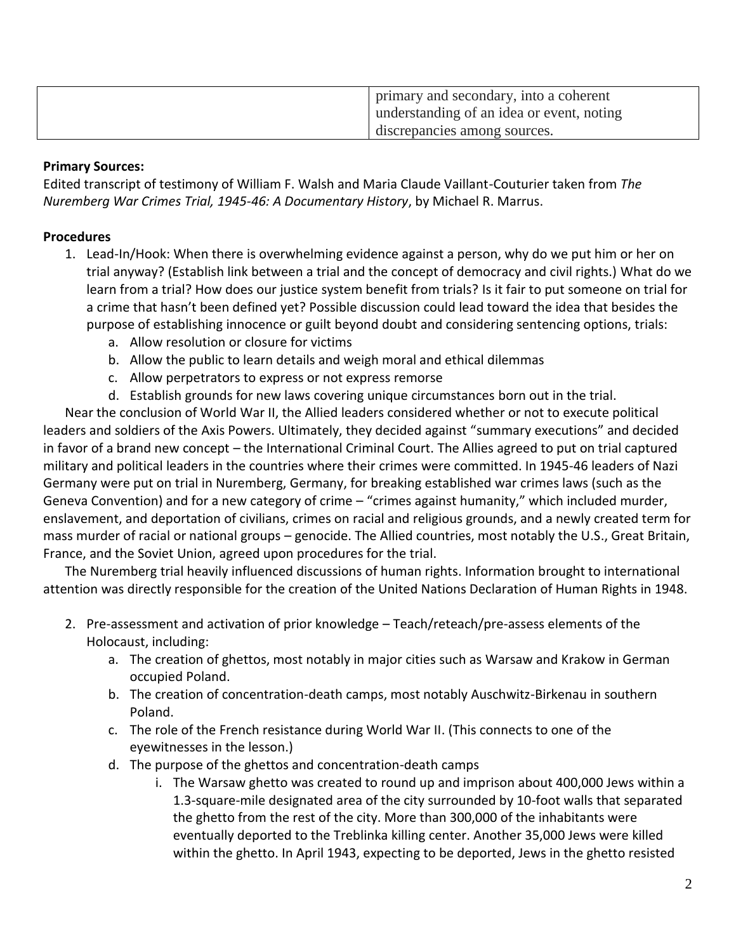| primary and secondary, into a coherent<br>understanding of an idea or event, noting |
|-------------------------------------------------------------------------------------|
| discrepancies among sources.                                                        |

#### **Primary Sources:**

Edited transcript of testimony of William F. Walsh and Maria Claude Vaillant-Couturier taken from *The Nuremberg War Crimes Trial, 1945-46: A Documentary History*, by Michael R. Marrus.

## **Procedures**

- 1. Lead-In/Hook: When there is overwhelming evidence against a person, why do we put him or her on trial anyway? (Establish link between a trial and the concept of democracy and civil rights.) What do we learn from a trial? How does our justice system benefit from trials? Is it fair to put someone on trial for a crime that hasn't been defined yet? Possible discussion could lead toward the idea that besides the purpose of establishing innocence or guilt beyond doubt and considering sentencing options, trials:
	- a. Allow resolution or closure for victims
	- b. Allow the public to learn details and weigh moral and ethical dilemmas
	- c. Allow perpetrators to express or not express remorse
	- d. Establish grounds for new laws covering unique circumstances born out in the trial.

Near the conclusion of World War II, the Allied leaders considered whether or not to execute political leaders and soldiers of the Axis Powers. Ultimately, they decided against "summary executions" and decided in favor of a brand new concept – the International Criminal Court. The Allies agreed to put on trial captured military and political leaders in the countries where their crimes were committed. In 1945-46 leaders of Nazi Germany were put on trial in Nuremberg, Germany, for breaking established war crimes laws (such as the Geneva Convention) and for a new category of crime – "crimes against humanity," which included murder, enslavement, and deportation of civilians, crimes on racial and religious grounds, and a newly created term for mass murder of racial or national groups – genocide. The Allied countries, most notably the U.S., Great Britain, France, and the Soviet Union, agreed upon procedures for the trial.

The Nuremberg trial heavily influenced discussions of human rights. Information brought to international attention was directly responsible for the creation of the United Nations Declaration of Human Rights in 1948.

- 2. Pre-assessment and activation of prior knowledge Teach/reteach/pre-assess elements of the Holocaust, including:
	- a. The creation of ghettos, most notably in major cities such as Warsaw and Krakow in German occupied Poland.
	- b. The creation of concentration-death camps, most notably Auschwitz-Birkenau in southern Poland.
	- c. The role of the French resistance during World War II. (This connects to one of the eyewitnesses in the lesson.)
	- d. The purpose of the ghettos and concentration-death camps
		- i. The Warsaw ghetto was created to round up and imprison about 400,000 Jews within a 1.3-square-mile designated area of the city surrounded by 10-foot walls that separated the ghetto from the rest of the city. More than 300,000 of the inhabitants were eventually deported to the Treblinka killing center. Another 35,000 Jews were killed within the ghetto. In April 1943, expecting to be deported, Jews in the ghetto resisted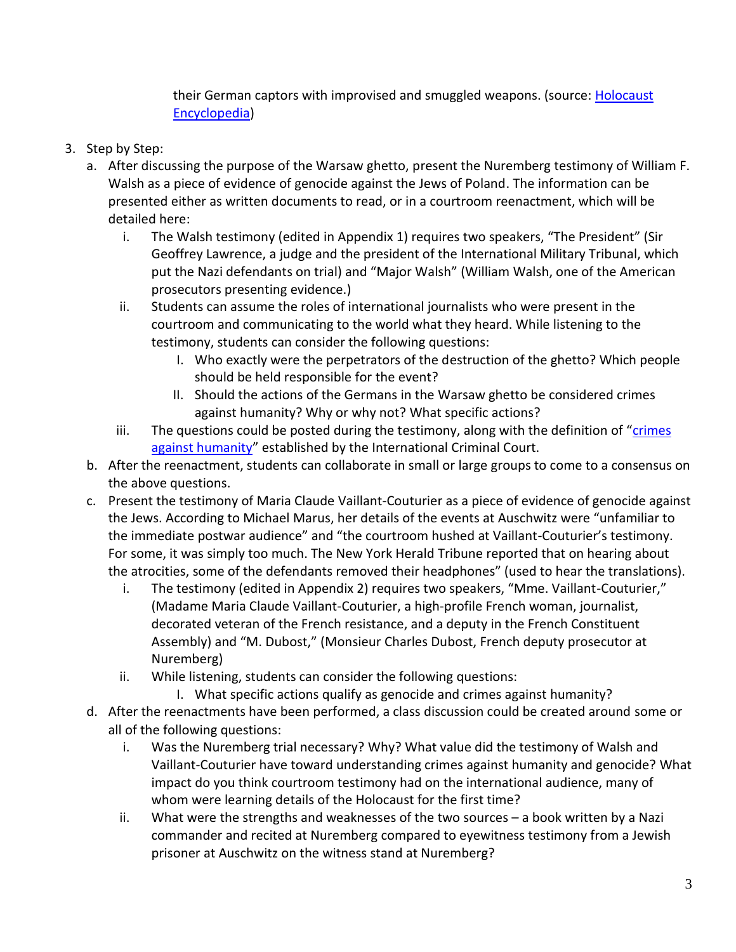their German captors with improvised and smuggled weapons. (source: [Holocaust](http://www.ushmm.org/wlc/en/article.php?ModuleId=10005069)  [Encyclopedia\)](http://www.ushmm.org/wlc/en/article.php?ModuleId=10005069)

- 3. Step by Step:
	- a. After discussing the purpose of the Warsaw ghetto, present the Nuremberg testimony of William F. Walsh as a piece of evidence of genocide against the Jews of Poland. The information can be presented either as written documents to read, or in a courtroom reenactment, which will be detailed here:
		- i. The Walsh testimony (edited in Appendix 1) requires two speakers, "The President" (Sir Geoffrey Lawrence, a judge and the president of the International Military Tribunal, which put the Nazi defendants on trial) and "Major Walsh" (William Walsh, one of the American prosecutors presenting evidence.)
		- ii. Students can assume the roles of international journalists who were present in the courtroom and communicating to the world what they heard. While listening to the testimony, students can consider the following questions:
			- I. Who exactly were the perpetrators of the destruction of the ghetto? Which people should be held responsible for the event?
			- II. Should the actions of the Germans in the Warsaw ghetto be considered crimes against humanity? Why or why not? What specific actions?
		- iii. The questions could be posted during the testimony, along with the definition of "crimes" [against humanity](http://www.icc-cpi.int/en_menus/icc/about%20the%20court/frequently%20asked%20questions/Pages/12.aspx)" established by the International Criminal Court.
	- b. After the reenactment, students can collaborate in small or large groups to come to a consensus on the above questions.
	- c. Present the testimony of Maria Claude Vaillant-Couturier as a piece of evidence of genocide against the Jews. According to Michael Marus, her details of the events at Auschwitz were "unfamiliar to the immediate postwar audience" and "the courtroom hushed at Vaillant-Couturier's testimony. For some, it was simply too much. The New York Herald Tribune reported that on hearing about the atrocities, some of the defendants removed their headphones" (used to hear the translations).
		- i. The testimony (edited in Appendix 2) requires two speakers, "Mme. Vaillant-Couturier," (Madame Maria Claude Vaillant-Couturier, a high-profile French woman, journalist, decorated veteran of the French resistance, and a deputy in the French Constituent Assembly) and "M. Dubost," (Monsieur Charles Dubost, French deputy prosecutor at Nuremberg)
		- ii. While listening, students can consider the following questions:
			- I. What specific actions qualify as genocide and crimes against humanity?
	- d. After the reenactments have been performed, a class discussion could be created around some or all of the following questions:
		- i. Was the Nuremberg trial necessary? Why? What value did the testimony of Walsh and Vaillant-Couturier have toward understanding crimes against humanity and genocide? What impact do you think courtroom testimony had on the international audience, many of whom were learning details of the Holocaust for the first time?
		- ii. What were the strengths and weaknesses of the two sources a book written by a Nazi commander and recited at Nuremberg compared to eyewitness testimony from a Jewish prisoner at Auschwitz on the witness stand at Nuremberg?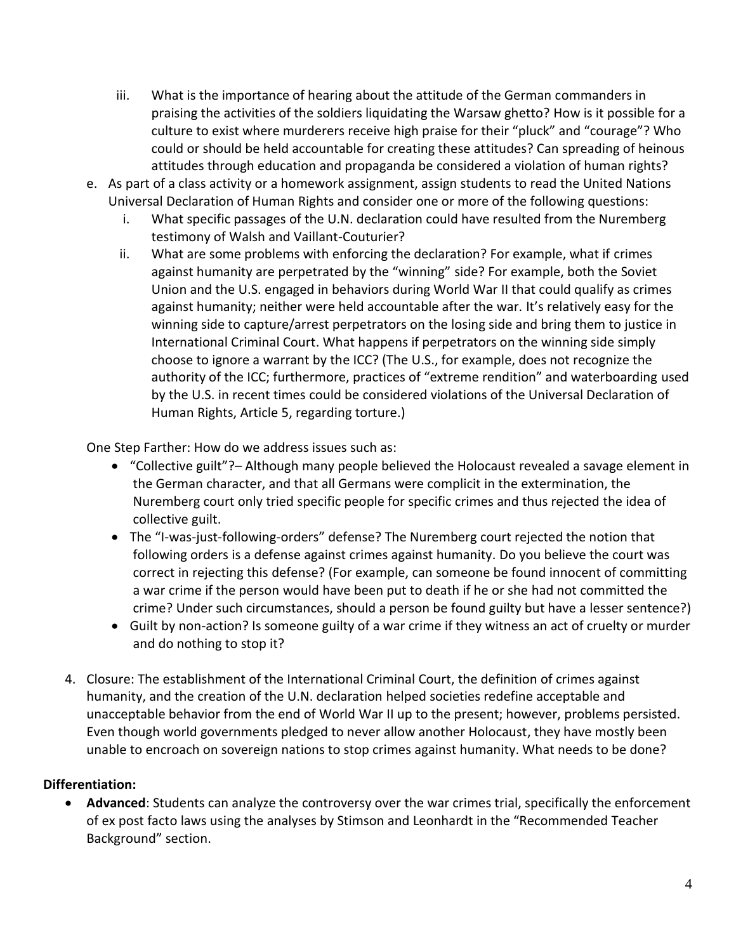- iii. What is the importance of hearing about the attitude of the German commanders in praising the activities of the soldiers liquidating the Warsaw ghetto? How is it possible for a culture to exist where murderers receive high praise for their "pluck" and "courage"? Who could or should be held accountable for creating these attitudes? Can spreading of heinous attitudes through education and propaganda be considered a violation of human rights?
- e. As part of a class activity or a homework assignment, assign students to read the United Nations Universal Declaration of Human Rights and consider one or more of the following questions:
	- i. What specific passages of the U.N. declaration could have resulted from the Nuremberg testimony of Walsh and Vaillant-Couturier?
	- ii. What are some problems with enforcing the declaration? For example, what if crimes against humanity are perpetrated by the "winning" side? For example, both the Soviet Union and the U.S. engaged in behaviors during World War II that could qualify as crimes against humanity; neither were held accountable after the war. It's relatively easy for the winning side to capture/arrest perpetrators on the losing side and bring them to justice in International Criminal Court. What happens if perpetrators on the winning side simply choose to ignore a warrant by the ICC? (The U.S., for example, does not recognize the authority of the ICC; furthermore, practices of "extreme rendition" and waterboarding used by the U.S. in recent times could be considered violations of the Universal Declaration of Human Rights, Article 5, regarding torture.)

One Step Farther: How do we address issues such as:

- "Collective guilt"?– Although many people believed the Holocaust revealed a savage element in the German character, and that all Germans were complicit in the extermination, the Nuremberg court only tried specific people for specific crimes and thus rejected the idea of collective guilt.
- The "I-was-just-following-orders" defense? The Nuremberg court rejected the notion that following orders is a defense against crimes against humanity. Do you believe the court was correct in rejecting this defense? (For example, can someone be found innocent of committing a war crime if the person would have been put to death if he or she had not committed the crime? Under such circumstances, should a person be found guilty but have a lesser sentence?)
- Guilt by non-action? Is someone guilty of a war crime if they witness an act of cruelty or murder and do nothing to stop it?
- 4. Closure: The establishment of the International Criminal Court, the definition of crimes against humanity, and the creation of the U.N. declaration helped societies redefine acceptable and unacceptable behavior from the end of World War II up to the present; however, problems persisted. Even though world governments pledged to never allow another Holocaust, they have mostly been unable to encroach on sovereign nations to stop crimes against humanity. What needs to be done?

#### **Differentiation:**

 **Advanced**: Students can analyze the controversy over the war crimes trial, specifically the enforcement of ex post facto laws using the analyses by Stimson and Leonhardt in the "Recommended Teacher Background" section.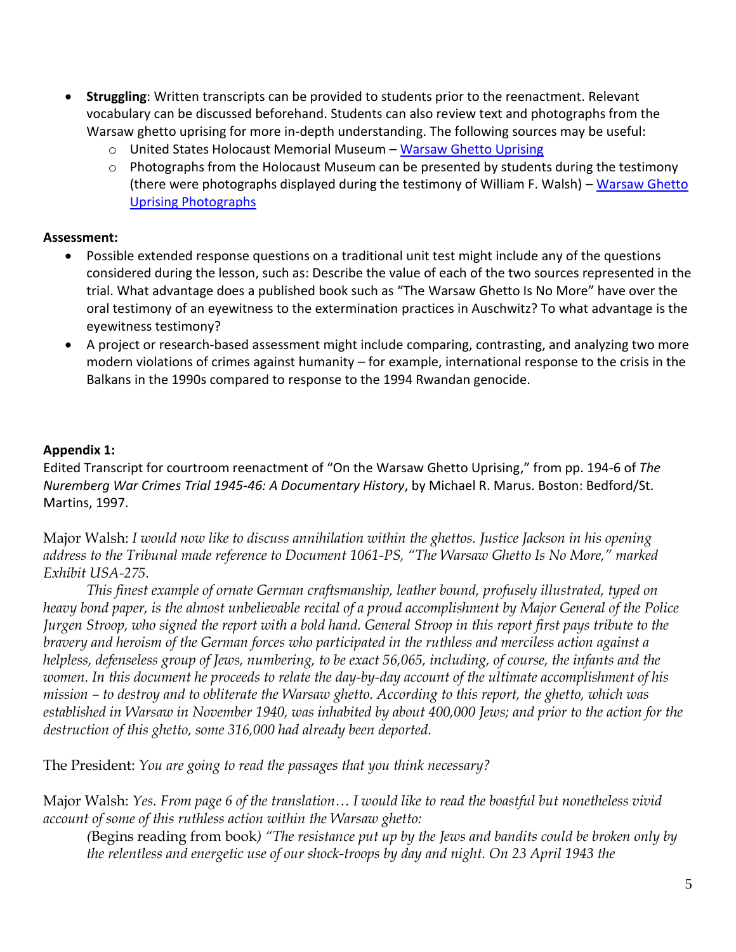- **Struggling**: Written transcripts can be provided to students prior to the reenactment. Relevant vocabulary can be discussed beforehand. Students can also review text and photographs from the Warsaw ghetto uprising for more in-depth understanding. The following sources may be useful:
	- o United States Holocaust Memorial Museum [Warsaw Ghetto Uprising](http://www.ushmm.org/wlc/en/article.php?ModuleId=10005188)
	- o Photographs from the Holocaust Museum can be presented by students during the testimony (there were photographs displayed during the testimony of William F. Walsh) – Warsaw Ghetto [Uprising Photographs](http://www.ushmm.org/wlc/en/gallery.php?ModuleId=10005188&MediaType=PH)

#### **Assessment:**

- Possible extended response questions on a traditional unit test might include any of the questions considered during the lesson, such as: Describe the value of each of the two sources represented in the trial. What advantage does a published book such as "The Warsaw Ghetto Is No More" have over the oral testimony of an eyewitness to the extermination practices in Auschwitz? To what advantage is the eyewitness testimony?
- A project or research-based assessment might include comparing, contrasting, and analyzing two more modern violations of crimes against humanity – for example, international response to the crisis in the Balkans in the 1990s compared to response to the 1994 Rwandan genocide.

### **Appendix 1:**

Edited Transcript for courtroom reenactment of "On the Warsaw Ghetto Uprising," from pp. 194-6 of *The Nuremberg War Crimes Trial 1945-46: A Documentary History*, by Michael R. Marus. Boston: Bedford/St. Martins, 1997.

Major Walsh: *I would now like to discuss annihilation within the ghettos. Justice Jackson in his opening address to the Tribunal made reference to Document 1061-PS, "The Warsaw Ghetto Is No More," marked Exhibit USA-275.*

*This finest example of ornate German craftsmanship, leather bound, profusely illustrated, typed on heavy bond paper, is the almost unbelievable recital of a proud accomplishment by Major General of the Police Jurgen Stroop, who signed the report with a bold hand. General Stroop in this report first pays tribute to the bravery and heroism of the German forces who participated in the ruthless and merciless action against a helpless, defenseless group of Jews, numbering, to be exact 56,065, including, of course, the infants and the women. In this document he proceeds to relate the day-by-day account of the ultimate accomplishment of his mission – to destroy and to obliterate the Warsaw ghetto. According to this report, the ghetto, which was established in Warsaw in November 1940, was inhabited by about 400,000 Jews; and prior to the action for the destruction of this ghetto, some 316,000 had already been deported.*

The President: *You are going to read the passages that you think necessary?*

Major Walsh: *Yes. From page 6 of the translation… I would like to read the boastful but nonetheless vivid account of some of this ruthless action within the Warsaw ghetto:*

*(*Begins reading from book*) "The resistance put up by the Jews and bandits could be broken only by the relentless and energetic use of our shock-troops by day and night. On 23 April 1943 the*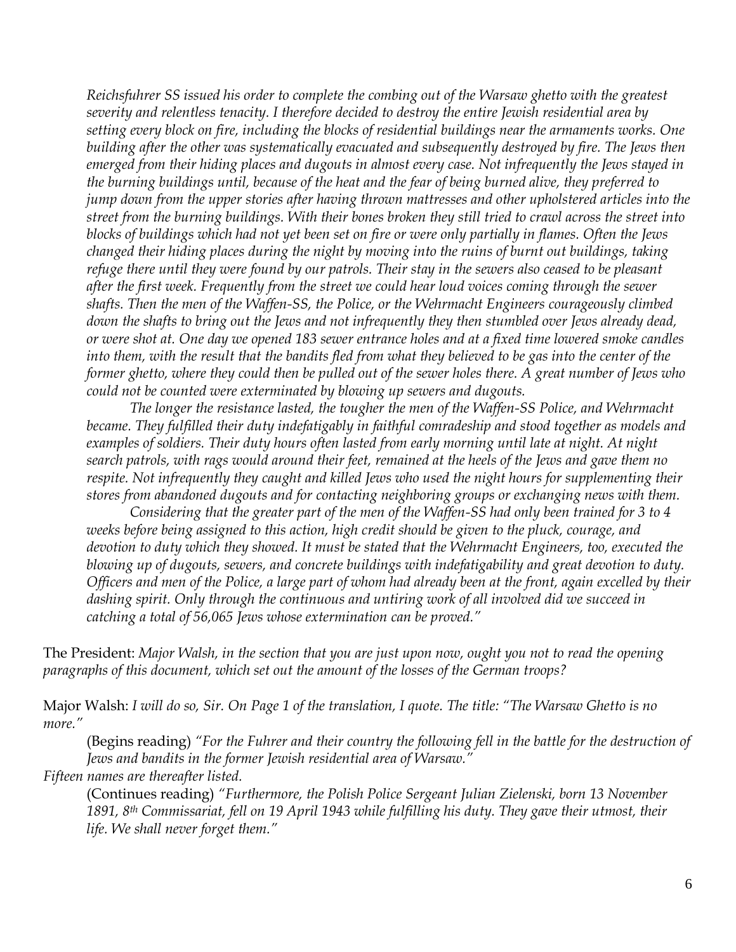*Reichsfuhrer SS issued his order to complete the combing out of the Warsaw ghetto with the greatest severity and relentless tenacity. I therefore decided to destroy the entire Jewish residential area by setting every block on fire, including the blocks of residential buildings near the armaments works. One building after the other was systematically evacuated and subsequently destroyed by fire. The Jews then emerged from their hiding places and dugouts in almost every case. Not infrequently the Jews stayed in the burning buildings until, because of the heat and the fear of being burned alive, they preferred to jump down from the upper stories after having thrown mattresses and other upholstered articles into the street from the burning buildings. With their bones broken they still tried to crawl across the street into blocks of buildings which had not yet been set on fire or were only partially in flames. Often the Jews changed their hiding places during the night by moving into the ruins of burnt out buildings, taking refuge there until they were found by our patrols. Their stay in the sewers also ceased to be pleasant after the first week. Frequently from the street we could hear loud voices coming through the sewer shafts. Then the men of the Waffen-SS, the Police, or the Wehrmacht Engineers courageously climbed down the shafts to bring out the Jews and not infrequently they then stumbled over Jews already dead, or were shot at. One day we opened 183 sewer entrance holes and at a fixed time lowered smoke candles into them, with the result that the bandits fled from what they believed to be gas into the center of the former ghetto, where they could then be pulled out of the sewer holes there. A great number of Jews who could not be counted were exterminated by blowing up sewers and dugouts.*

*The longer the resistance lasted, the tougher the men of the Waffen-SS Police, and Wehrmacht became. They fulfilled their duty indefatigably in faithful comradeship and stood together as models and*  examples of soldiers. Their duty hours often lasted from early morning until late at night. At night *search patrols, with rags would around their feet, remained at the heels of the Jews and gave them no respite. Not infrequently they caught and killed Jews who used the night hours for supplementing their stores from abandoned dugouts and for contacting neighboring groups or exchanging news with them.*

*Considering that the greater part of the men of the Waffen-SS had only been trained for 3 to 4 weeks before being assigned to this action, high credit should be given to the pluck, courage, and devotion to duty which they showed. It must be stated that the Wehrmacht Engineers, too, executed the blowing up of dugouts, sewers, and concrete buildings with indefatigability and great devotion to duty. Officers and men of the Police, a large part of whom had already been at the front, again excelled by their dashing spirit. Only through the continuous and untiring work of all involved did we succeed in catching a total of 56,065 Jews whose extermination can be proved."*

The President: *Major Walsh, in the section that you are just upon now, ought you not to read the opening paragraphs of this document, which set out the amount of the losses of the German troops?*

Major Walsh: *I will do so, Sir. On Page 1 of the translation, I quote. The title: "The Warsaw Ghetto is no more."*

(Begins reading) *"For the Fuhrer and their country the following fell in the battle for the destruction of Jews and bandits in the former Jewish residential area of Warsaw."*

*Fifteen names are thereafter listed.*

(Continues reading) *"Furthermore, the Polish Police Sergeant Julian Zielenski, born 13 November 1891, 8th Commissariat, fell on 19 April 1943 while fulfilling his duty. They gave their utmost, their life. We shall never forget them."*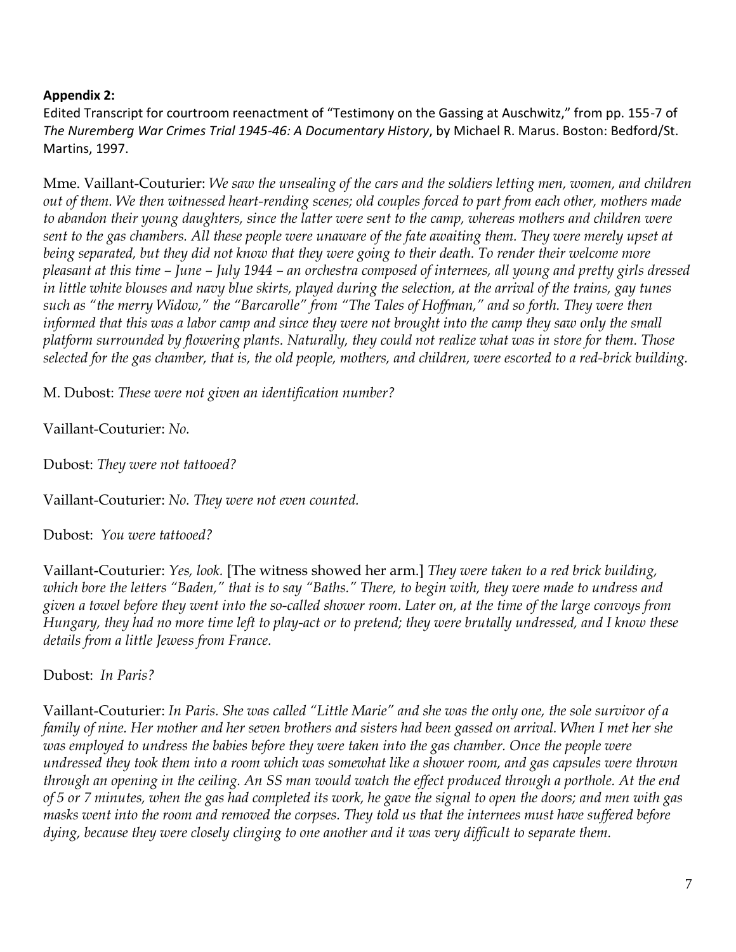#### **Appendix 2:**

Edited Transcript for courtroom reenactment of "Testimony on the Gassing at Auschwitz," from pp. 155-7 of *The Nuremberg War Crimes Trial 1945-46: A Documentary History*, by Michael R. Marus. Boston: Bedford/St. Martins, 1997.

Mme. Vaillant-Couturier: *We saw the unsealing of the cars and the soldiers letting men, women, and children out of them. We then witnessed heart-rending scenes; old couples forced to part from each other, mothers made to abandon their young daughters, since the latter were sent to the camp, whereas mothers and children were sent to the gas chambers. All these people were unaware of the fate awaiting them. They were merely upset at being separated, but they did not know that they were going to their death. To render their welcome more pleasant at this time – June – July 1944 – an orchestra composed of internees, all young and pretty girls dressed in little white blouses and navy blue skirts, played during the selection, at the arrival of the trains, gay tunes such as "the merry Widow," the "Barcarolle" from "The Tales of Hoffman," and so forth. They were then informed that this was a labor camp and since they were not brought into the camp they saw only the small platform surrounded by flowering plants. Naturally, they could not realize what was in store for them. Those selected for the gas chamber, that is, the old people, mothers, and children, were escorted to a red-brick building.*

M. Dubost: *These were not given an identification number?*

Vaillant-Couturier: *No.*

Dubost: *They were not tattooed?*

Vaillant-Couturier: *No. They were not even counted.*

Dubost: *You were tattooed?*

Vaillant-Couturier: *Yes, look.* [The witness showed her arm.] *They were taken to a red brick building, which bore the letters "Baden," that is to say "Baths." There, to begin with, they were made to undress and given a towel before they went into the so-called shower room. Later on, at the time of the large convoys from Hungary, they had no more time left to play-act or to pretend; they were brutally undressed, and I know these details from a little Jewess from France.*

Dubost: *In Paris?*

Vaillant-Couturier: *In Paris. She was called "Little Marie" and she was the only one, the sole survivor of a family of nine. Her mother and her seven brothers and sisters had been gassed on arrival. When I met her she was employed to undress the babies before they were taken into the gas chamber. Once the people were undressed they took them into a room which was somewhat like a shower room, and gas capsules were thrown through an opening in the ceiling. An SS man would watch the effect produced through a porthole. At the end of 5 or 7 minutes, when the gas had completed its work, he gave the signal to open the doors; and men with gas masks went into the room and removed the corpses. They told us that the internees must have suffered before dying, because they were closely clinging to one another and it was very difficult to separate them.*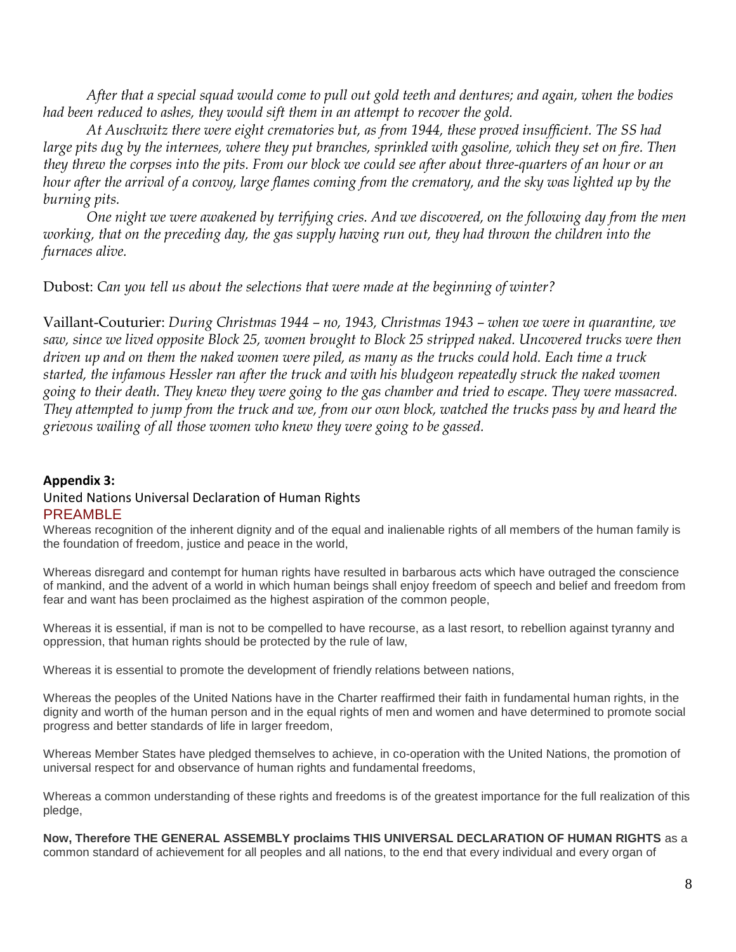*After that a special squad would come to pull out gold teeth and dentures; and again, when the bodies had been reduced to ashes, they would sift them in an attempt to recover the gold.*

*At Auschwitz there were eight crematories but, as from 1944, these proved insufficient. The SS had large pits dug by the internees, where they put branches, sprinkled with gasoline, which they set on fire. Then they threw the corpses into the pits. From our block we could see after about three-quarters of an hour or an hour after the arrival of a convoy, large flames coming from the crematory, and the sky was lighted up by the burning pits.*

*One night we were awakened by terrifying cries. And we discovered, on the following day from the men working, that on the preceding day, the gas supply having run out, they had thrown the children into the furnaces alive.*

Dubost: *Can you tell us about the selections that were made at the beginning of winter?*

Vaillant-Couturier: *During Christmas 1944 – no, 1943, Christmas 1943 – when we were in quarantine, we saw, since we lived opposite Block 25, women brought to Block 25 stripped naked. Uncovered trucks were then driven up and on them the naked women were piled, as many as the trucks could hold. Each time a truck started, the infamous Hessler ran after the truck and with his bludgeon repeatedly struck the naked women going to their death. They knew they were going to the gas chamber and tried to escape. They were massacred. They attempted to jump from the truck and we, from our own block, watched the trucks pass by and heard the grievous wailing of all those women who knew they were going to be gassed.*

#### **Appendix 3:** United Nations Universal Declaration of Human Rights PREAMBLE

Whereas recognition of the inherent dignity and of the equal and inalienable rights of all members of the human family is the foundation of freedom, justice and peace in the world,

Whereas disregard and contempt for human rights have resulted in barbarous acts which have outraged the conscience of mankind, and the advent of a world in which human beings shall enjoy freedom of speech and belief and freedom from fear and want has been proclaimed as the highest aspiration of the common people,

Whereas it is essential, if man is not to be compelled to have recourse, as a last resort, to rebellion against tyranny and oppression, that human rights should be protected by the rule of law,

Whereas it is essential to promote the development of friendly relations between nations,

Whereas the peoples of the United Nations have in the Charter reaffirmed their faith in fundamental human rights, in the dignity and worth of the human person and in the equal rights of men and women and have determined to promote social progress and better standards of life in larger freedom,

Whereas Member States have pledged themselves to achieve, in co-operation with the United Nations, the promotion of universal respect for and observance of human rights and fundamental freedoms,

Whereas a common understanding of these rights and freedoms is of the greatest importance for the full realization of this pledge,

**Now, Therefore THE GENERAL ASSEMBLY proclaims THIS UNIVERSAL DECLARATION OF HUMAN RIGHTS** as a common standard of achievement for all peoples and all nations, to the end that every individual and every organ of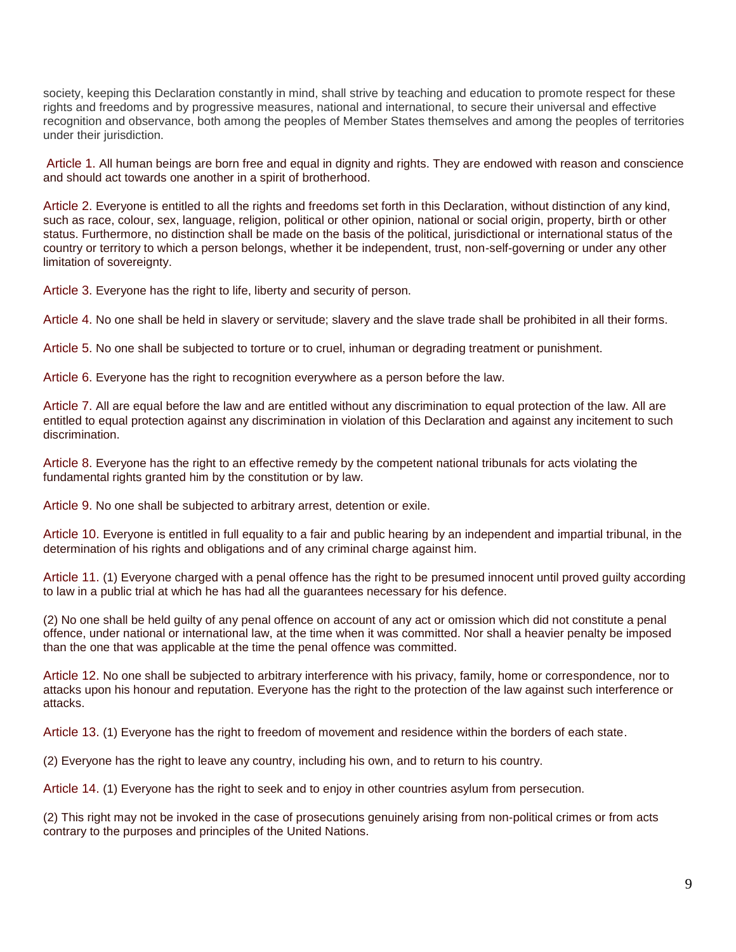society, keeping this Declaration constantly in mind, shall strive by teaching and education to promote respect for these rights and freedoms and by progressive measures, national and international, to secure their universal and effective recognition and observance, both among the peoples of Member States themselves and among the peoples of territories under their jurisdiction.

Article 1. All human beings are born free and equal in dignity and rights. They are endowed with reason and conscience and should act towards one another in a spirit of brotherhood.

Article 2. Everyone is entitled to all the rights and freedoms set forth in this Declaration, without distinction of any kind, such as race, colour, sex, language, religion, political or other opinion, national or social origin, property, birth or other status. Furthermore, no distinction shall be made on the basis of the political, jurisdictional or international status of the country or territory to which a person belongs, whether it be independent, trust, non-self-governing or under any other limitation of sovereignty.

Article 3. Everyone has the right to life, liberty and security of person.

Article 4. No one shall be held in slavery or servitude; slavery and the slave trade shall be prohibited in all their forms.

Article 5. No one shall be subjected to torture or to cruel, inhuman or degrading treatment or punishment.

Article 6. Everyone has the right to recognition everywhere as a person before the law.

Article 7. All are equal before the law and are entitled without any discrimination to equal protection of the law. All are entitled to equal protection against any discrimination in violation of this Declaration and against any incitement to such discrimination.

Article 8. Everyone has the right to an effective remedy by the competent national tribunals for acts violating the fundamental rights granted him by the constitution or by law.

Article 9. No one shall be subjected to arbitrary arrest, detention or exile.

Article 10. Everyone is entitled in full equality to a fair and public hearing by an independent and impartial tribunal, in the determination of his rights and obligations and of any criminal charge against him.

Article 11. (1) Everyone charged with a penal offence has the right to be presumed innocent until proved guilty according to law in a public trial at which he has had all the guarantees necessary for his defence.

(2) No one shall be held guilty of any penal offence on account of any act or omission which did not constitute a penal offence, under national or international law, at the time when it was committed. Nor shall a heavier penalty be imposed than the one that was applicable at the time the penal offence was committed.

Article 12. No one shall be subjected to arbitrary interference with his privacy, family, home or correspondence, nor to attacks upon his honour and reputation. Everyone has the right to the protection of the law against such interference or attacks.

Article 13. (1) Everyone has the right to freedom of movement and residence within the borders of each state.

(2) Everyone has the right to leave any country, including his own, and to return to his country.

Article 14. (1) Everyone has the right to seek and to enjoy in other countries asylum from persecution.

(2) This right may not be invoked in the case of prosecutions genuinely arising from non-political crimes or from acts contrary to the purposes and principles of the United Nations.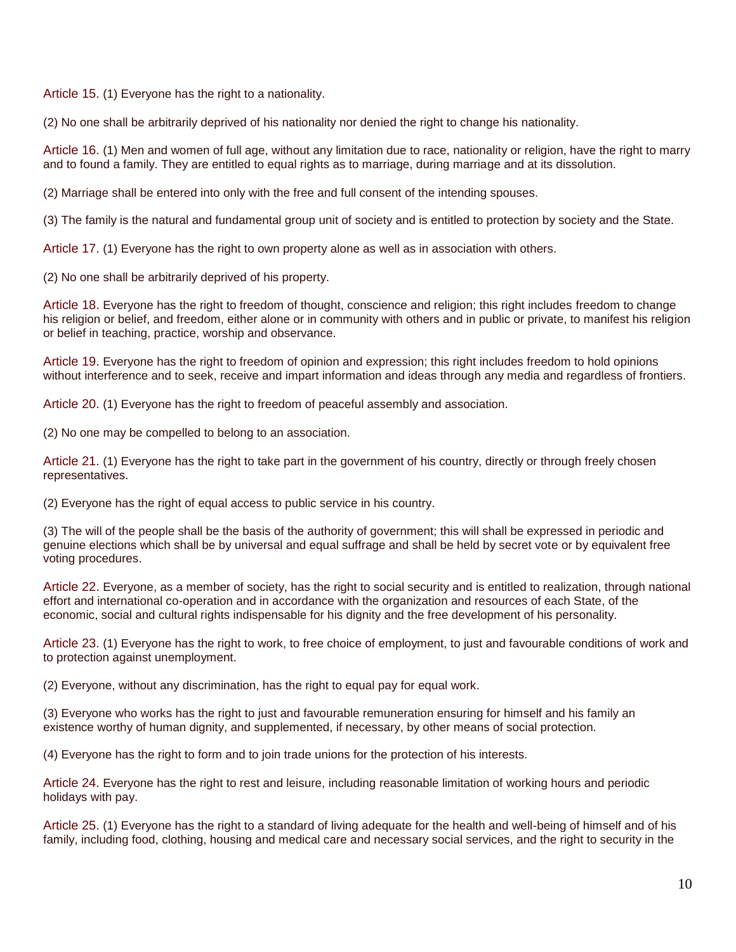Article 15. (1) Everyone has the right to a nationality.

(2) No one shall be arbitrarily deprived of his nationality nor denied the right to change his nationality.

Article 16. (1) Men and women of full age, without any limitation due to race, nationality or religion, have the right to marry and to found a family. They are entitled to equal rights as to marriage, during marriage and at its dissolution.

(2) Marriage shall be entered into only with the free and full consent of the intending spouses.

(3) The family is the natural and fundamental group unit of society and is entitled to protection by society and the State.

Article 17. (1) Everyone has the right to own property alone as well as in association with others.

(2) No one shall be arbitrarily deprived of his property.

Article 18. Everyone has the right to freedom of thought, conscience and religion; this right includes freedom to change his religion or belief, and freedom, either alone or in community with others and in public or private, to manifest his religion or belief in teaching, practice, worship and observance.

Article 19. Everyone has the right to freedom of opinion and expression; this right includes freedom to hold opinions without interference and to seek, receive and impart information and ideas through any media and regardless of frontiers.

Article 20. (1) Everyone has the right to freedom of peaceful assembly and association.

(2) No one may be compelled to belong to an association.

Article 21. (1) Everyone has the right to take part in the government of his country, directly or through freely chosen representatives.

(2) Everyone has the right of equal access to public service in his country.

(3) The will of the people shall be the basis of the authority of government; this will shall be expressed in periodic and genuine elections which shall be by universal and equal suffrage and shall be held by secret vote or by equivalent free voting procedures.

Article 22. Everyone, as a member of society, has the right to social security and is entitled to realization, through national effort and international co-operation and in accordance with the organization and resources of each State, of the economic, social and cultural rights indispensable for his dignity and the free development of his personality.

Article 23. (1) Everyone has the right to work, to free choice of employment, to just and favourable conditions of work and to protection against unemployment.

(2) Everyone, without any discrimination, has the right to equal pay for equal work.

(3) Everyone who works has the right to just and favourable remuneration ensuring for himself and his family an existence worthy of human dignity, and supplemented, if necessary, by other means of social protection.

(4) Everyone has the right to form and to join trade unions for the protection of his interests.

Article 24. Everyone has the right to rest and leisure, including reasonable limitation of working hours and periodic holidays with pay.

Article 25. (1) Everyone has the right to a standard of living adequate for the health and well-being of himself and of his family, including food, clothing, housing and medical care and necessary social services, and the right to security in the